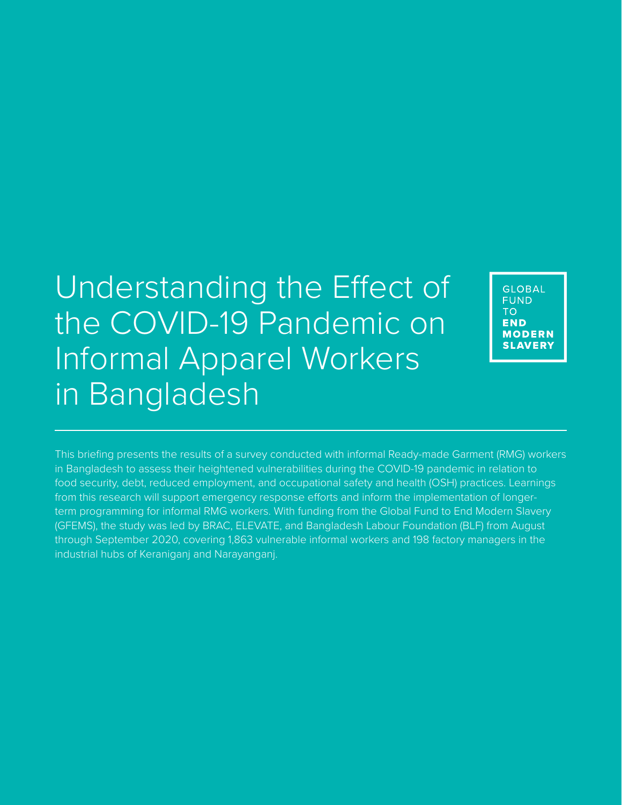Understanding the Effect of the COVID-19 Pandemic on Informal Apparel Workers in Bangladesh

**GLOBAL FUND** TO<sub>1</sub> **END MODERN SLAVERY** 

This briefing presents the results of a survey conducted with informal Ready-made Garment (RMG) workers in Bangladesh to assess their heightened vulnerabilities during the COVID-19 pandemic in relation to food security, debt, reduced employment, and occupational safety and health (OSH) practices. Learnings from this research will support emergency response efforts and inform the implementation of longerterm programming for informal RMG workers. With funding from the Global Fund to End Modern Slavery (GFEMS), the study was led by BRAC, ELEVATE, and Bangladesh Labour Foundation (BLF) from August through September 2020, covering 1,863 vulnerable informal workers and 198 factory managers in the industrial hubs of Keraniganj and Narayanganj.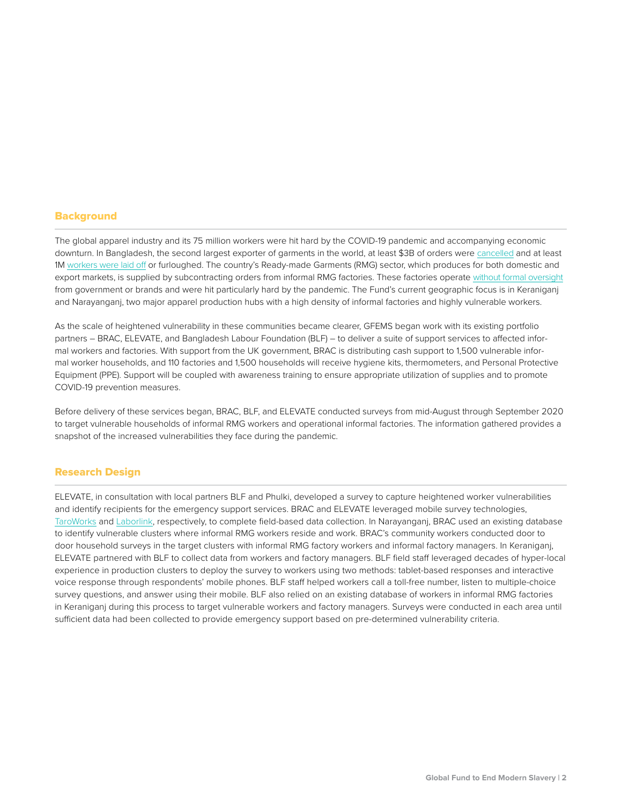## **Background**

The global apparel industry and its 75 million workers were hit hard by the COVID-19 pandemic and accompanying economic downturn. In Bangladesh, the second largest exporter of garments in the world, at least \$3B of orders wer[e cancelled a](https://ler.la.psu.edu/gwr/news-items/Abandoned_CGWRWRCApril12020.pdf)nd at least 1[M workers were laid off o](https://www.forbes.com/sites/rebeccasuhrawardi/2020/03/30/collapse-of-bangladeshs-garment-industry-leaves-its-workers-more-vulnerable-than-ever-during--coronavirus/?sh=5edefb9bf27e)r furloughed. The country's Ready-made Garments (RMG) sector, which produces for both domestic and export markets, is supplied by subcontracting orders from informal RMG factories. These factories operat[e without formal oversight](https://issuu.com/nyusterncenterforbusinessandhumanri/docs/nyu_bangladesh_ranaplaza_final_rele) from government or brands and were hit particularly hard by the pandemic. The Fund's current geographic focus is in Keraniganj and Narayanganj, two major apparel production hubs with a high density of informal factories and highly vulnerable workers.

As the scale of heightened vulnerability in these communities became clearer, GFEMS began work with its existing portfolio partners – BRAC, ELEVATE, and Bangladesh Labour Foundation (BLF) – to deliver a suite of support services to affected informal workers and factories. With support from the UK government, BRAC is distributing cash support to 1,500 vulnerable informal worker households, and 110 factories and 1,500 households will receive hygiene kits, thermometers, and Personal Protective Equipment (PPE). Support will be coupled with awareness training to ensure appropriate utilization of supplies and to promote COVID-19 prevention measures.

Before delivery of these services began, BRAC, BLF, and ELEVATE conducted surveys from mid-August through September 2020 to target vulnerable households of informal RMG workers and operational informal factories. The information gathered provides a snapshot of the increased vulnerabilities they face during the pandemic.

### Research Design

ELEVATE, in consultation with local partners BLF and Phulki, developed a survey to capture heightened worker vulnerabilities and identify recipients for the emergency support services. BRAC and ELEVATE leveraged mobile survey technologies, [TaroWorks a](https://taroworks.org/)n[d Laborlink, r](https://www.elevatelimited.com/insights/white-papers/laborlink-detects-risk-of-forced-labor/)espectively, to complete field-based data collection. In Narayanganj, BRAC used an existing database to identify vulnerable clusters where informal RMG workers reside and work. BRAC's community workers conducted door to door household surveys in the target clusters with informal RMG factory workers and informal factory managers. In Keraniganj, ELEVATE partnered with BLF to collect data from workers and factory managers. BLF field staff leveraged decades of hyper-local experience in production clusters to deploy the survey to workers using two methods: tablet-based responses and interactive voice response through respondents' mobile phones. BLF staff helped workers call a toll-free number, listen to multiple-choice survey questions, and answer using their mobile. BLF also relied on an existing database of workers in informal RMG factories in Keraniganj during this process to target vulnerable workers and factory managers. Surveys were conducted in each area until sufficient data had been collected to provide emergency support based on pre-determined vulnerability criteria.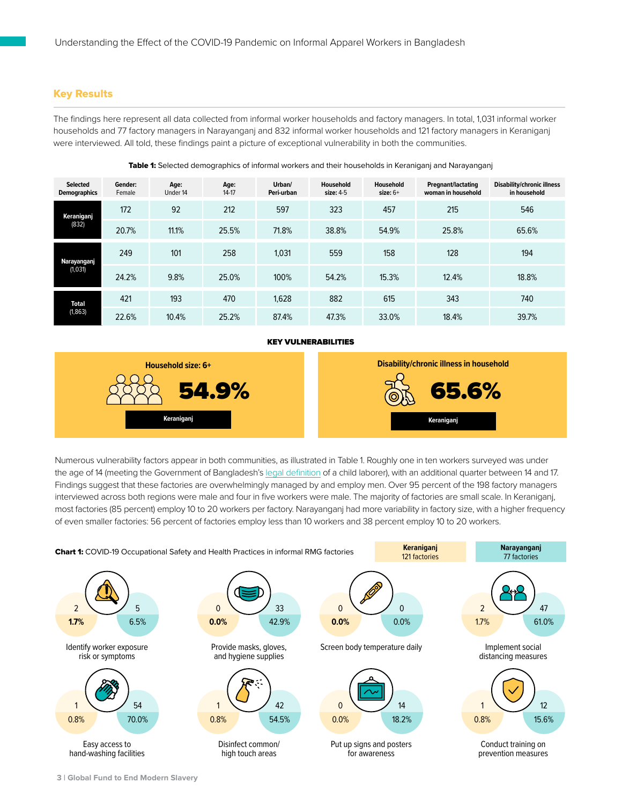# Key Results

The findings here represent all data collected from informal worker households and factory managers. In total, 1,031 informal worker households and 77 factory managers in Narayanganj and 832 informal worker households and 121 factory managers in Keraniganj were interviewed. All told, these findings paint a picture of exceptional vulnerability in both the communities.

| <b>Selected</b><br><b>Demographics</b> | Gender:<br>Female | Age:<br>Under 14 | Age:<br>$14-17$ | Urban/<br>Peri-urban | Household<br>size: 4-5 | Household<br>size: $6+$ | <b>Pregnant/lactating</b><br>woman in household | <b>Disability/chronic illness</b><br>in household |
|----------------------------------------|-------------------|------------------|-----------------|----------------------|------------------------|-------------------------|-------------------------------------------------|---------------------------------------------------|
| Keraniganj<br>(832)                    | 172               | 92               | 212             | 597                  | 323                    | 457                     | 215                                             | 546                                               |
|                                        | 20.7%             | 11.1%            | 25.5%           | 71.8%                | 38.8%                  | 54.9%                   | 25.8%                                           | 65.6%                                             |
| Narayanganj<br>(1,031)                 | 249               | 101              | 258             | 1,031                | 559                    | 158                     | 128                                             | 194                                               |
|                                        | 24.2%             | 9.8%             | 25.0%           | 100%                 | 54.2%                  | 15.3%                   | 12.4%                                           | 18.8%                                             |
| <b>Total</b><br>(1, 863)               | 421               | 193              | 470             | 1,628                | 882                    | 615                     | 343                                             | 740                                               |
|                                        | 22.6%             | 10.4%            | 25.2%           | 87.4%                | 47.3%                  | 33.0%                   | 18.4%                                           | 39.7%                                             |

#### Table 1: Selected demographics of informal workers and their households in Keraniganj and Narayanganj

### KEY VULNERABILITIES



Numerous vulnerability factors appear in both communities, as illustrated in Table 1. Roughly one in ten workers surveyed was under the age of 14 (meeting the Government of Banglades[h's legal definition o](https://mole.portal.gov.bd/sites/default/files/files/mole.portal.gov.bd/policies/7e663ccb_2413_4768_ba8d_ee99091661a4/National%20Child%20Labour%20Elimination%20Policy%202010%20%28English%29%2010.pdf)f a child laborer), with an additional quarter between 14 and 17. Findings suggest that these factories are overwhelmingly managed by and employ men. Over 95 percent of the 198 factory managers interviewed across both regions were male and four in five workers were male. The majority of factories are small scale. In Keraniganj, most factories (85 percent) employ 10 to 20 workers per factory. Narayanganj had more variability in factory size, with a higher frequency of even smaller factories: 56 percent of factories employ less than 10 workers and 38 percent employ 10 to 20 workers.

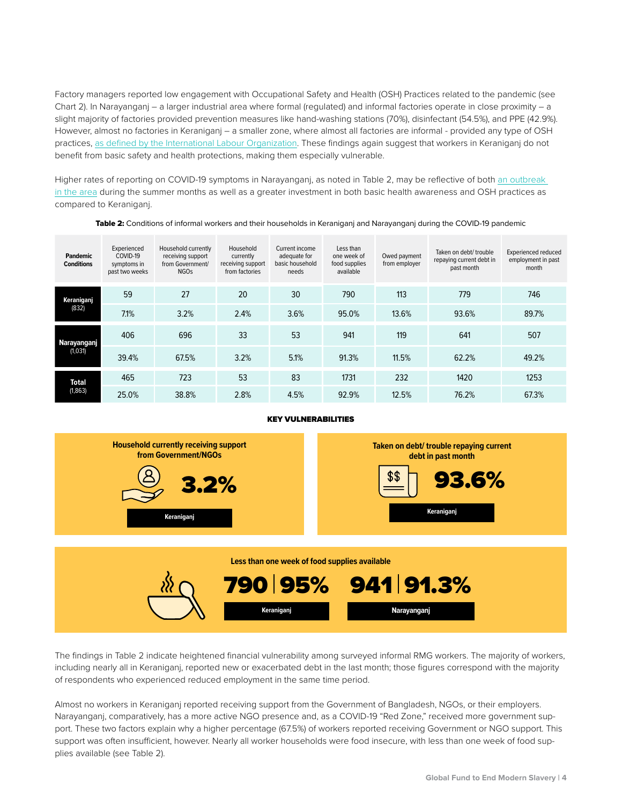Factory managers reported low engagement with Occupational Safety and Health (OSH) Practices related to the pandemic (see Chart 2). In Narayanganj – a larger industrial area where formal (regulated) and informal factories operate in close proximity – a slight majority of factories provided prevention measures like hand-washing stations (70%), disinfectant (54.5%), and PPE (42.9%). However, almost no factories in Keraniganj – a smaller zone, where almost all factories are informal - provided any type of OSH practice[s, as defined by the International Labour Organization. T](https://www.ilo.org/global/standards/WCMS_739937/lang--en/index.htm)hese findings again suggest that workers in Keraniganj do not benefit from basic safety and health protections, making them especially vulnerable.

Higher rates of reporting on COVID-19 symptoms in Narayanganj, as noted in Table 2, may be reflective of bot[h an outbreak](https://www.who.int/bangladesh/emergencies/coronavirus-disease-(covid-19)-update/coronavirus-disease-(covid-2019)-bangladesh-situation-reports)  [in the area du](https://www.who.int/bangladesh/emergencies/coronavirus-disease-(covid-19)-update/coronavirus-disease-(covid-2019)-bangladesh-situation-reports)ring the summer months as well as a greater investment in both basic health awareness and OSH practices as compared to Keraniganj.

| <b>Pandemic</b><br><b>Conditions</b> | Experienced<br>COVID-19<br>symptoms in<br>past two weeks | Household currently<br>receiving support<br>from Government/<br><b>NGOs</b> | Household<br>currently<br>receiving support<br>from factories | Current income<br>adequate for<br>basic household<br>needs | Less than<br>one week of<br>food supplies<br>available | Owed payment<br>from employer | Taken on debt/ trouble<br>repaying current debt in<br>past month | Experienced reduced<br>employment in past<br>month |
|--------------------------------------|----------------------------------------------------------|-----------------------------------------------------------------------------|---------------------------------------------------------------|------------------------------------------------------------|--------------------------------------------------------|-------------------------------|------------------------------------------------------------------|----------------------------------------------------|
| Keraniganj<br>(832)                  | 59                                                       | 27                                                                          | 20                                                            | 30                                                         | 790                                                    | 113                           | 779                                                              | 746                                                |
|                                      | 7.1%                                                     | 3.2%                                                                        | 2.4%                                                          | 3.6%                                                       | 95.0%                                                  | 13.6%                         | 93.6%                                                            | 89.7%                                              |
| Narayanganj<br>(1,031)               | 406                                                      | 696                                                                         | 33                                                            | 53                                                         | 941                                                    | 119                           | 641                                                              | 507                                                |
|                                      | 39.4%                                                    | 67.5%                                                                       | 3.2%                                                          | 5.1%                                                       | 91.3%                                                  | 11.5%                         | 62.2%                                                            | 49.2%                                              |
| <b>Total</b><br>(1, 863)             | 465                                                      | 723                                                                         | 53                                                            | 83                                                         | 1731                                                   | 232                           | 1420                                                             | 1253                                               |
|                                      | 25.0%                                                    | 38.8%                                                                       | 2.8%                                                          | 4.5%                                                       | 92.9%                                                  | 12.5%                         | 76.2%                                                            | 67.3%                                              |

#### Table 2: Conditions of informal workers and their households in Keraniganj and Narayanganj during the COVID-19 pandemic

### KEY VULNERABILITIES



**Less than one week of food supplies available Narayanganj** 790 95% 941 91.3% **Keraniganj**

The findings in Table 2 indicate heightened financial vulnerability among surveyed informal RMG workers. The majority of workers, including nearly all in Keraniganj, reported new or exacerbated debt in the last month; those figures correspond with the majority of respondents who experienced reduced employment in the same time period.

Almost no workers in Keraniganj reported receiving support from the Government of Bangladesh, NGOs, or their employers. Narayanganj, comparatively, has a more active NGO presence and, as a COVID-19 "Red Zone," received more government support. These two factors explain why a higher percentage (67.5%) of workers reported receiving Government or NGO support. This support was often insufficient, however. Nearly all worker households were food insecure, with less than one week of food supplies available (see Table 2).